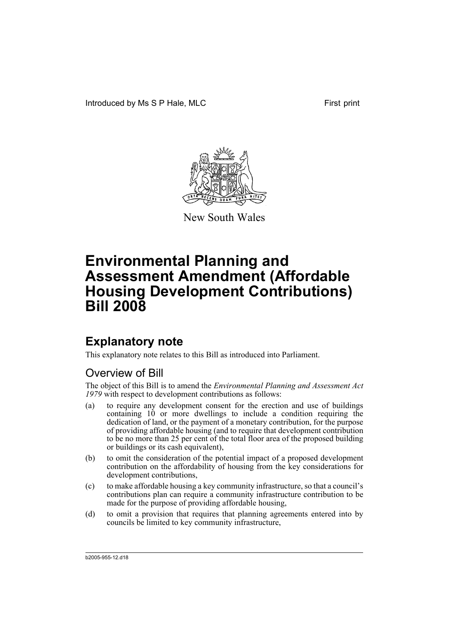

New South Wales

## **Explanatory note**

This explanatory note relates to this Bill as introduced into Parliament.

## Overview of Bill

The object of this Bill is to amend the *Environmental Planning and Assessment Act 1979* with respect to development contributions as follows:

- (a) to require any development consent for the erection and use of buildings containing 10 or more dwellings to include a condition requiring the dedication of land, or the payment of a monetary contribution, for the purpose of providing affordable housing (and to require that development contribution to be no more than 25 per cent of the total floor area of the proposed building or buildings or its cash equivalent),
- (b) to omit the consideration of the potential impact of a proposed development contribution on the affordability of housing from the key considerations for development contributions,
- (c) to make affordable housing a key community infrastructure, so that a council's contributions plan can require a community infrastructure contribution to be made for the purpose of providing affordable housing,
- (d) to omit a provision that requires that planning agreements entered into by councils be limited to key community infrastructure,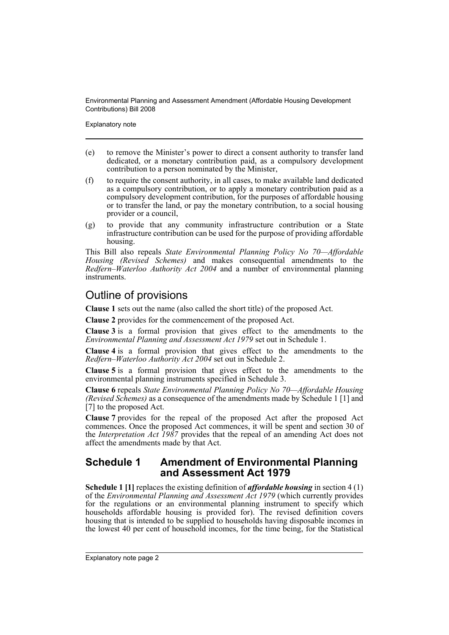Explanatory note

- (e) to remove the Minister's power to direct a consent authority to transfer land dedicated, or a monetary contribution paid, as a compulsory development contribution to a person nominated by the Minister,
- (f) to require the consent authority, in all cases, to make available land dedicated as a compulsory contribution, or to apply a monetary contribution paid as a compulsory development contribution, for the purposes of affordable housing or to transfer the land, or pay the monetary contribution, to a social housing provider or a council,
- (g) to provide that any community infrastructure contribution or a State infrastructure contribution can be used for the purpose of providing affordable housing.

This Bill also repeals *State Environmental Planning Policy No 70—Affordable Housing (Revised Schemes)* and makes consequential amendments to the *Redfern–Waterloo Authority Act 2004* and a number of environmental planning instruments.

## Outline of provisions

**Clause 1** sets out the name (also called the short title) of the proposed Act.

**Clause 2** provides for the commencement of the proposed Act.

**Clause 3** is a formal provision that gives effect to the amendments to the *Environmental Planning and Assessment Act 1979* set out in Schedule 1.

**Clause 4** is a formal provision that gives effect to the amendments to the *Redfern–Waterloo Authority Act 2004* set out in Schedule 2.

**Clause 5** is a formal provision that gives effect to the amendments to the environmental planning instruments specified in Schedule 3.

**Clause 6** repeals *State Environmental Planning Policy No 70—Affordable Housing (Revised Schemes)* as a consequence of the amendments made by Schedule 1 [1] and [7] to the proposed Act.

**Clause 7** provides for the repeal of the proposed Act after the proposed Act commences. Once the proposed Act commences, it will be spent and section 30 of the *Interpretation Act 1987* provides that the repeal of an amending Act does not affect the amendments made by that Act.

### **Schedule 1 Amendment of Environmental Planning and Assessment Act 1979**

**Schedule 1 [1]** replaces the existing definition of *affordable housing* in section 4 (1) of the *Environmental Planning and Assessment Act 1979* (which currently provides for the regulations or an environmental planning instrument to specify which households affordable housing is provided for). The revised definition covers housing that is intended to be supplied to households having disposable incomes in the lowest 40 per cent of household incomes, for the time being, for the Statistical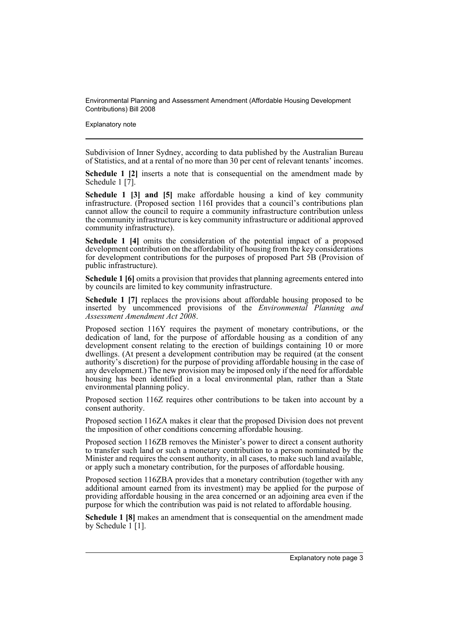Explanatory note

Subdivision of Inner Sydney, according to data published by the Australian Bureau of Statistics, and at a rental of no more than 30 per cent of relevant tenants' incomes.

**Schedule 1 [2]** inserts a note that is consequential on the amendment made by Schedule 1 [7].

**Schedule 1 [3] and [5]** make affordable housing a kind of key community infrastructure. (Proposed section 116I provides that a council's contributions plan cannot allow the council to require a community infrastructure contribution unless the community infrastructure is key community infrastructure or additional approved community infrastructure).

**Schedule 1** [4] omits the consideration of the potential impact of a proposed development contribution on the affordability of housing from the key considerations for development contributions for the purposes of proposed Part 5B (Provision of public infrastructure).

**Schedule 1 [6]** omits a provision that provides that planning agreements entered into by councils are limited to key community infrastructure.

**Schedule 1 [7]** replaces the provisions about affordable housing proposed to be inserted by uncommenced provisions of the *Environmental Planning and Assessment Amendment Act 2008*.

Proposed section 116Y requires the payment of monetary contributions, or the dedication of land, for the purpose of affordable housing as a condition of any development consent relating to the erection of buildings containing 10 or more dwellings. (At present a development contribution may be required (at the consent authority's discretion) for the purpose of providing affordable housing in the case of any development.) The new provision may be imposed only if the need for affordable housing has been identified in a local environmental plan, rather than a State environmental planning policy.

Proposed section 116Z requires other contributions to be taken into account by a consent authority.

Proposed section 116ZA makes it clear that the proposed Division does not prevent the imposition of other conditions concerning affordable housing.

Proposed section 116ZB removes the Minister's power to direct a consent authority to transfer such land or such a monetary contribution to a person nominated by the Minister and requires the consent authority, in all cases, to make such land available, or apply such a monetary contribution, for the purposes of affordable housing.

Proposed section 116ZBA provides that a monetary contribution (together with any additional amount earned from its investment) may be applied for the purpose of providing affordable housing in the area concerned or an adjoining area even if the purpose for which the contribution was paid is not related to affordable housing.

**Schedule 1 [8]** makes an amendment that is consequential on the amendment made by Schedule 1 [1].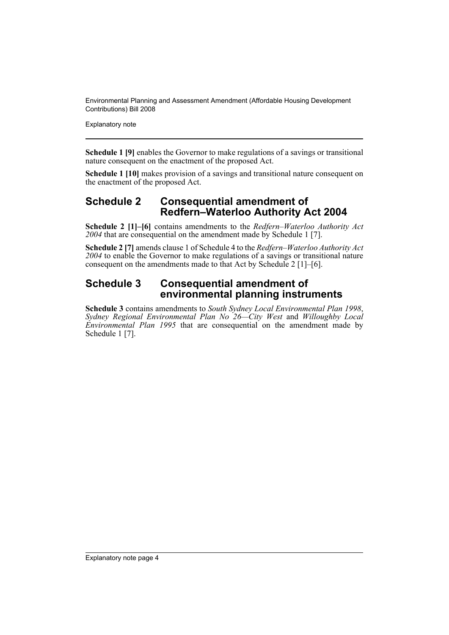Explanatory note

**Schedule 1 [9]** enables the Governor to make regulations of a savings or transitional nature consequent on the enactment of the proposed Act.

**Schedule 1 [10]** makes provision of a savings and transitional nature consequent on the enactment of the proposed Act.

## **Schedule 2 Consequential amendment of Redfern–Waterloo Authority Act 2004**

**Schedule 2 [1]–[6]** contains amendments to the *Redfern–Waterloo Authority Act 2004* that are consequential on the amendment made by Schedule 1 [7].

**Schedule 2 [7]** amends clause 1 of Schedule 4 to the *Redfern–Waterloo Authority Act 2004* to enable the Governor to make regulations of a savings or transitional nature consequent on the amendments made to that Act by Schedule 2 [1]–[6].

### **Schedule 3 Consequential amendment of environmental planning instruments**

**Schedule 3** contains amendments to *South Sydney Local Environmental Plan 1998*, *Sydney Regional Environmental Plan No 26—City West* and *Willoughby Local Environmental Plan 1995* that are consequential on the amendment made by Schedule 1<sup>[7]</sup>.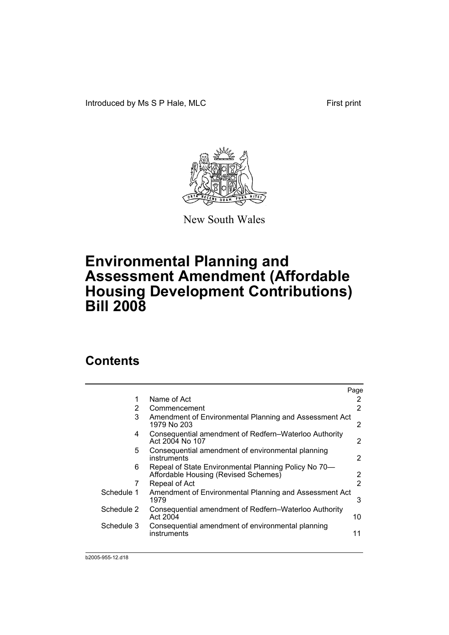Introduced by Ms S P Hale, MLC First print



New South Wales

# **Environmental Planning and Assessment Amendment (Affordable Housing Development Contributions) Bill 2008**

## **Contents**

|            |                                                                                              | Page |
|------------|----------------------------------------------------------------------------------------------|------|
| 1          | Name of Act                                                                                  | 2    |
| 2          | Commencement                                                                                 | 2    |
| 3          | Amendment of Environmental Planning and Assessment Act<br>1979 No 203                        | 2    |
| 4          | Consequential amendment of Redfern–Waterloo Authority<br>Act 2004 No 107                     | 2    |
| 5          | Consequential amendment of environmental planning<br>instruments                             | 2    |
| 6          | Repeal of State Environmental Planning Policy No 70-<br>Affordable Housing (Revised Schemes) | 2    |
| 7          | Repeal of Act                                                                                | 2    |
| Schedule 1 | Amendment of Environmental Planning and Assessment Act<br>1979                               | 3    |
| Schedule 2 | Consequential amendment of Redfern–Waterloo Authority<br>Act 2004                            | 10   |
| Schedule 3 | Consequential amendment of environmental planning<br>instruments                             | 11   |
|            |                                                                                              |      |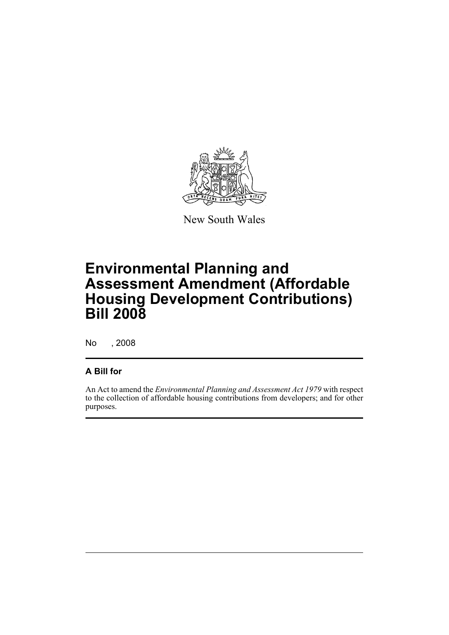

New South Wales

# **Environmental Planning and Assessment Amendment (Affordable Housing Development Contributions) Bill 2008**

No , 2008

### **A Bill for**

An Act to amend the *Environmental Planning and Assessment Act 1979* with respect to the collection of affordable housing contributions from developers; and for other purposes.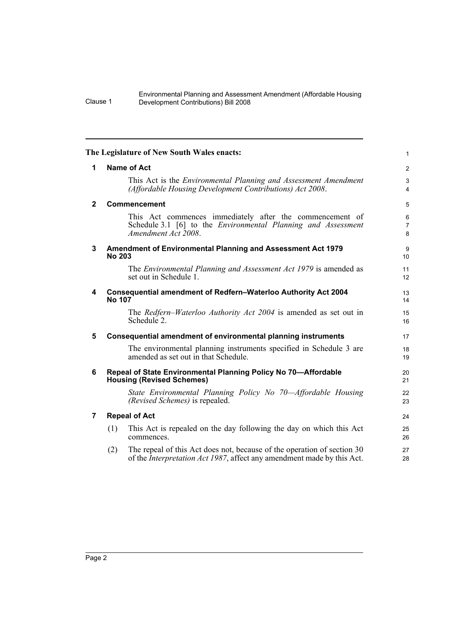<span id="page-7-6"></span><span id="page-7-5"></span><span id="page-7-4"></span><span id="page-7-3"></span><span id="page-7-2"></span><span id="page-7-1"></span><span id="page-7-0"></span>

|              | The Legislature of New South Wales enacts:                                                                                                                       | $\mathbf{1}$             |  |  |  |  |
|--------------|------------------------------------------------------------------------------------------------------------------------------------------------------------------|--------------------------|--|--|--|--|
| 1            | <b>Name of Act</b>                                                                                                                                               |                          |  |  |  |  |
|              | This Act is the <i>Environmental Planning and Assessment Amendment</i><br>(Affordable Housing Development Contributions) Act 2008.                               | 3<br>$\overline{4}$      |  |  |  |  |
| $\mathbf{2}$ | Commencement                                                                                                                                                     | 5                        |  |  |  |  |
|              | This Act commences immediately after the commencement of<br>Schedule 3.1 [6] to the <i>Environmental Planning and Assessment</i><br>Amendment Act 2008.          | 6<br>$\overline{7}$<br>8 |  |  |  |  |
| 3            | Amendment of Environmental Planning and Assessment Act 1979<br><b>No 203</b>                                                                                     | 9<br>10 <sup>1</sup>     |  |  |  |  |
|              | The Environmental Planning and Assessment Act 1979 is amended as<br>set out in Schedule 1.                                                                       | 11<br>12                 |  |  |  |  |
| 4            | Consequential amendment of Redfern-Waterloo Authority Act 2004<br><b>No 107</b>                                                                                  | 13<br>14                 |  |  |  |  |
|              | The Redfern–Waterloo Authority Act 2004 is amended as set out in<br>Schedule 2.                                                                                  | 15<br>16                 |  |  |  |  |
| 5            | Consequential amendment of environmental planning instruments                                                                                                    | 17                       |  |  |  |  |
|              | The environmental planning instruments specified in Schedule 3 are<br>amended as set out in that Schedule.                                                       | 18<br>19                 |  |  |  |  |
| 6            | Repeal of State Environmental Planning Policy No 70-Affordable<br><b>Housing (Revised Schemes)</b>                                                               | 20<br>21                 |  |  |  |  |
|              | State Environmental Planning Policy No 70—Affordable Housing<br>(Revised Schemes) is repealed.                                                                   | 22<br>23                 |  |  |  |  |
| 7            | <b>Repeal of Act</b>                                                                                                                                             | 24                       |  |  |  |  |
|              | This Act is repealed on the day following the day on which this Act<br>(1)<br>commences.                                                                         | 25<br>26                 |  |  |  |  |
|              | The repeal of this Act does not, because of the operation of section 30<br>(2)<br>of the <i>Interpretation Act 1987</i> , affect any amendment made by this Act. | 27<br>28                 |  |  |  |  |
|              |                                                                                                                                                                  |                          |  |  |  |  |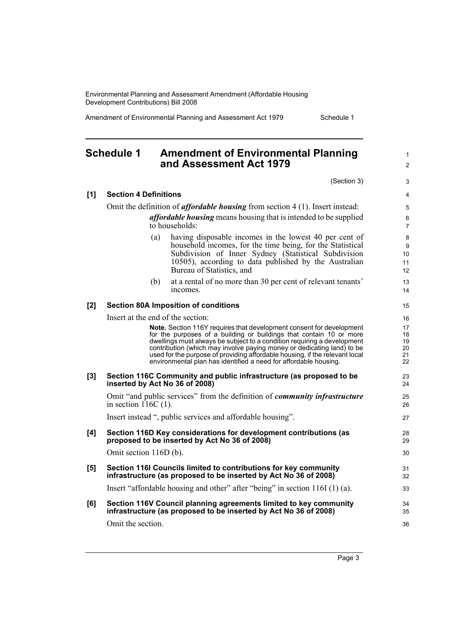Amendment of Environmental Planning and Assessment Act 1979 Schedule 1

## <span id="page-8-0"></span>**Schedule 1 Amendment of Environmental Planning and Assessment Act 1979**

(Section 3)

1 2

3

| [1]   | <b>Section 4 Definitions</b>                                                                                                                                                                                                                                                                                                                                                                                                                                                                    |                                        |  |  |  |  |
|-------|-------------------------------------------------------------------------------------------------------------------------------------------------------------------------------------------------------------------------------------------------------------------------------------------------------------------------------------------------------------------------------------------------------------------------------------------------------------------------------------------------|----------------------------------------|--|--|--|--|
|       | Omit the definition of <i>affordable housing</i> from section 4 (1). Insert instead:                                                                                                                                                                                                                                                                                                                                                                                                            |                                        |  |  |  |  |
|       | <i>affordable housing</i> means housing that is intended to be supplied<br>to households:                                                                                                                                                                                                                                                                                                                                                                                                       |                                        |  |  |  |  |
|       | having disposable incomes in the lowest 40 per cent of<br>(a)<br>household incomes, for the time being, for the Statistical<br>Subdivision of Inner Sydney (Statistical Subdivision<br>10505), according to data published by the Australian<br>Bureau of Statistics, and                                                                                                                                                                                                                       | 8<br>9<br>10<br>11<br>12               |  |  |  |  |
|       | at a rental of no more than 30 per cent of relevant tenants'<br>(b)<br>incomes.                                                                                                                                                                                                                                                                                                                                                                                                                 | 13<br>14                               |  |  |  |  |
| $[2]$ | <b>Section 80A Imposition of conditions</b>                                                                                                                                                                                                                                                                                                                                                                                                                                                     | 15                                     |  |  |  |  |
|       | Insert at the end of the section:<br><b>Note.</b> Section 116Y requires that development consent for development<br>for the purposes of a building or buildings that contain 10 or more<br>dwellings must always be subject to a condition requiring a development<br>contribution (which may involve paying money or dedicating land) to be<br>used for the purpose of providing affordable housing, if the relevant local<br>environmental plan has identified a need for affordable housing. | 16<br>17<br>18<br>19<br>20<br>21<br>22 |  |  |  |  |
| $[3]$ | Section 116C Community and public infrastructure (as proposed to be<br>inserted by Act No 36 of 2008)                                                                                                                                                                                                                                                                                                                                                                                           | 23<br>24                               |  |  |  |  |
|       | Omit "and public services" from the definition of <i>community infrastructure</i><br>in section $116C(1)$ .                                                                                                                                                                                                                                                                                                                                                                                     | 25<br>26                               |  |  |  |  |
|       | Insert instead ", public services and affordable housing".                                                                                                                                                                                                                                                                                                                                                                                                                                      | 27                                     |  |  |  |  |
| [4]   | Section 116D Key considerations for development contributions (as<br>proposed to be inserted by Act No 36 of 2008)                                                                                                                                                                                                                                                                                                                                                                              | 28<br>29                               |  |  |  |  |
|       | Omit section 116D (b).                                                                                                                                                                                                                                                                                                                                                                                                                                                                          | 30                                     |  |  |  |  |
| [5]   | Section 116I Councils limited to contributions for key community<br>infrastructure (as proposed to be inserted by Act No 36 of 2008)                                                                                                                                                                                                                                                                                                                                                            | 31<br>32                               |  |  |  |  |
|       | Insert "affordable housing and other" after "being" in section $116I(1)(a)$ .                                                                                                                                                                                                                                                                                                                                                                                                                   | 33                                     |  |  |  |  |
| [6]   | Section 116V Council planning agreements limited to key community<br>infrastructure (as proposed to be inserted by Act No 36 of 2008)                                                                                                                                                                                                                                                                                                                                                           | 34<br>35                               |  |  |  |  |
|       | Omit the section.                                                                                                                                                                                                                                                                                                                                                                                                                                                                               | 36                                     |  |  |  |  |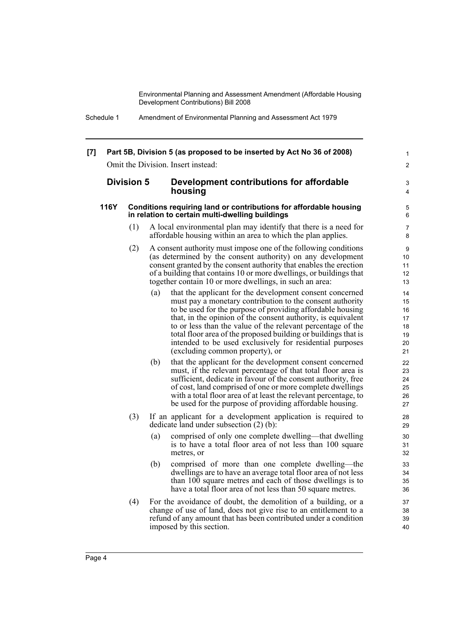> 1  $\mathfrak{p}$

#### **[7] Part 5B, Division 5 (as proposed to be inserted by Act No 36 of 2008)** Omit the Division. Insert instead:

#### **Division 5 Development contributions for affordable housing**

#### **116Y Conditions requiring land or contributions for affordable housing in relation to certain multi-dwelling buildings**

- (1) A local environmental plan may identify that there is a need for affordable housing within an area to which the plan applies.
- (2) A consent authority must impose one of the following conditions (as determined by the consent authority) on any development consent granted by the consent authority that enables the erection of a building that contains 10 or more dwellings, or buildings that together contain 10 or more dwellings, in such an area:
	- (a) that the applicant for the development consent concerned must pay a monetary contribution to the consent authority to be used for the purpose of providing affordable housing that, in the opinion of the consent authority, is equivalent to or less than the value of the relevant percentage of the total floor area of the proposed building or buildings that is intended to be used exclusively for residential purposes (excluding common property), or
	- (b) that the applicant for the development consent concerned must, if the relevant percentage of that total floor area is sufficient, dedicate in favour of the consent authority, free of cost, land comprised of one or more complete dwellings with a total floor area of at least the relevant percentage, to be used for the purpose of providing affordable housing.
- (3) If an applicant for a development application is required to dedicate land under subsection (2) (b):
	- (a) comprised of only one complete dwelling—that dwelling is to have a total floor area of not less than 100 square metres, or
	- (b) comprised of more than one complete dwelling—the dwellings are to have an average total floor area of not less than 100 square metres and each of those dwellings is to have a total floor area of not less than 50 square metres.
- (4) For the avoidance of doubt, the demolition of a building, or a change of use of land, does not give rise to an entitlement to a refund of any amount that has been contributed under a condition imposed by this section.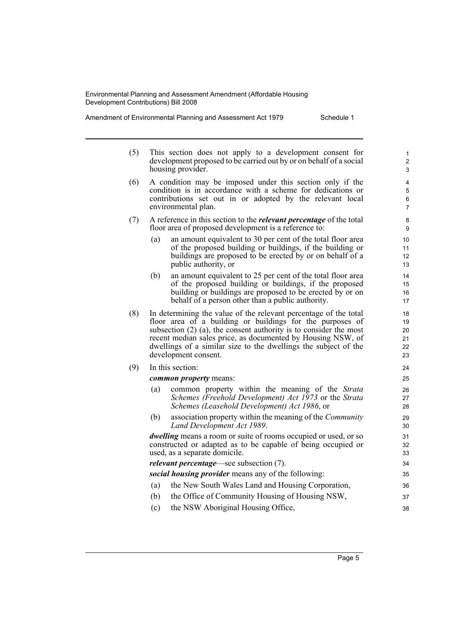Amendment of Environmental Planning and Assessment Act 1979 Schedule 1

| (5) |                   |  |  | This section does not apply to a development consent for           |  |
|-----|-------------------|--|--|--------------------------------------------------------------------|--|
|     |                   |  |  | development proposed to be carried out by or on behalf of a social |  |
|     | housing provider. |  |  |                                                                    |  |

- (6) A condition may be imposed under this section only if the condition is in accordance with a scheme for dedications or contributions set out in or adopted by the relevant local environmental plan.
- (7) A reference in this section to the *relevant percentage* of the total floor area of proposed development is a reference to:
	- (a) an amount equivalent to 30 per cent of the total floor area of the proposed building or buildings, if the building or buildings are proposed to be erected by or on behalf of a public authority, or
	- (b) an amount equivalent to 25 per cent of the total floor area of the proposed building or buildings, if the proposed building or buildings are proposed to be erected by or on behalf of a person other than a public authority.
- (8) In determining the value of the relevant percentage of the total floor area of a building or buildings for the purposes of subsection (2) (a), the consent authority is to consider the most recent median sales price, as documented by Housing NSW, of dwellings of a similar size to the dwellings the subject of the development consent.

| In this section: |  |
|------------------|--|
|                  |  |

*common property* means:

- (a) common property within the meaning of the *Strata Schemes (Freehold Development) Act 1973* or the *Strata Schemes (Leasehold Development) Act 1986*, or
- (b) association property within the meaning of the *Community Land Development Act 1989*.

*dwelling* means a room or suite of rooms occupied or used, or so constructed or adapted as to be capable of being occupied or used, as a separate domicile.

*relevant percentage*—see subsection (7).

*social housing provider* means any of the following:

- (a) the New South Wales Land and Housing Corporation,
- (b) the Office of Community Housing of Housing NSW,
- (c) the NSW Aboriginal Housing Office,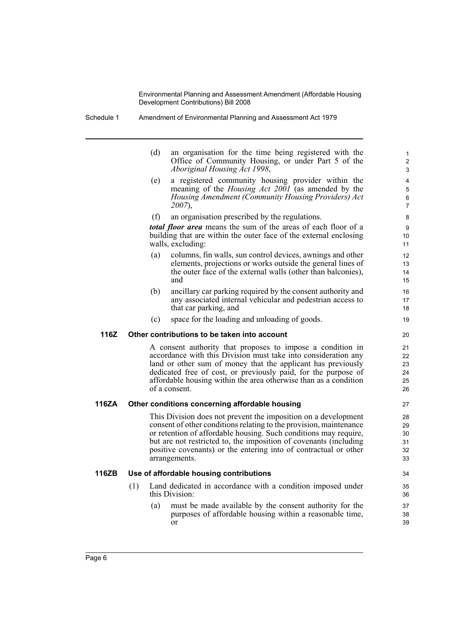- Schedule 1 Amendment of Environmental Planning and Assessment Act 1979
	- (d) an organisation for the time being registered with the Office of Community Housing, or under Part 5 of the *Aboriginal Housing Act 1998*,

- (e) a registered community housing provider within the meaning of the *Housing Act 2001* (as amended by the *Housing Amendment (Community Housing Providers) Act 2007*),
- (f) an organisation prescribed by the regulations.

*total floor area* means the sum of the areas of each floor of a building that are within the outer face of the external enclosing walls, excluding:

- (a) columns, fin walls, sun control devices, awnings and other elements, projections or works outside the general lines of the outer face of the external walls (other than balconies), and
- (b) ancillary car parking required by the consent authority and any associated internal vehicular and pedestrian access to that car parking, and
- (c) space for the loading and unloading of goods.

#### **116Z Other contributions to be taken into account**

A consent authority that proposes to impose a condition in accordance with this Division must take into consideration any land or other sum of money that the applicant has previously dedicated free of cost, or previously paid, for the purpose of affordable housing within the area otherwise than as a condition of a consent.

#### **116ZA Other conditions concerning affordable housing**

This Division does not prevent the imposition on a development consent of other conditions relating to the provision, maintenance or retention of affordable housing. Such conditions may require, but are not restricted to, the imposition of covenants (including positive covenants) or the entering into of contractual or other arrangements.

#### **116ZB Use of affordable housing contributions**

- (1) Land dedicated in accordance with a condition imposed under this Division:
	- (a) must be made available by the consent authority for the purposes of affordable housing within a reasonable time, or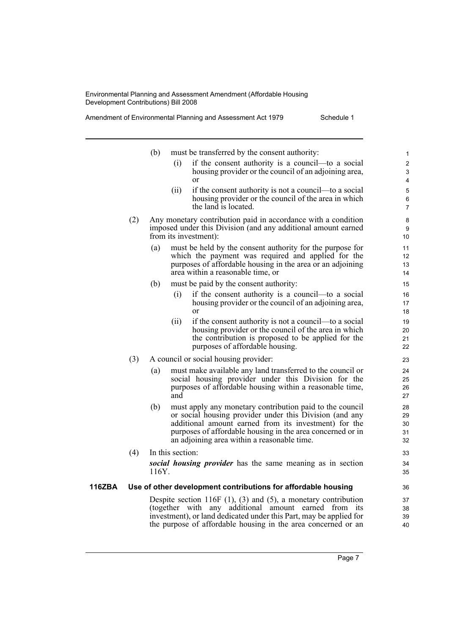Amendment of Environmental Planning and Assessment Act 1979 Schedule 1

**116ZBA** 

|     | (b)   | must be transferred by the consent authority:                                                                                                                                                                                                                                             | $\mathbf{1}$               |
|-----|-------|-------------------------------------------------------------------------------------------------------------------------------------------------------------------------------------------------------------------------------------------------------------------------------------------|----------------------------|
|     |       | (i)<br>if the consent authority is a council—to a social<br>housing provider or the council of an adjoining area,<br>or                                                                                                                                                                   | $\overline{c}$<br>3<br>4   |
|     |       | (ii)<br>if the consent authority is not a council—to a social<br>housing provider or the council of the area in which<br>the land is located.                                                                                                                                             | 5<br>6<br>7                |
| (2) |       | Any monetary contribution paid in accordance with a condition<br>imposed under this Division (and any additional amount earned<br>from its investment):                                                                                                                                   | 8<br>9<br>10               |
|     | (a)   | must be held by the consent authority for the purpose for<br>which the payment was required and applied for the<br>purposes of affordable housing in the area or an adjoining<br>area within a reasonable time, or                                                                        | 11<br>12<br>13<br>14       |
|     | (b)   | must be paid by the consent authority:                                                                                                                                                                                                                                                    | 15                         |
|     |       | if the consent authority is a council—to a social<br>(i)<br>housing provider or the council of an adjoining area,<br>or                                                                                                                                                                   | 16<br>17<br>18             |
|     |       | if the consent authority is not a council—to a social<br>(ii)<br>housing provider or the council of the area in which<br>the contribution is proposed to be applied for the<br>purposes of affordable housing.                                                                            | 19<br>20<br>21<br>22       |
| (3) |       | A council or social housing provider:                                                                                                                                                                                                                                                     | 23                         |
|     | (a)   | must make available any land transferred to the council or<br>social housing provider under this Division for the<br>purposes of affordable housing within a reasonable time,<br>and                                                                                                      | 24<br>25<br>26<br>27       |
|     | (b)   | must apply any monetary contribution paid to the council<br>or social housing provider under this Division (and any<br>additional amount earned from its investment) for the<br>purposes of affordable housing in the area concerned or in<br>an adjoining area within a reasonable time. | 28<br>29<br>30<br>31<br>32 |
| (4) |       | In this section:                                                                                                                                                                                                                                                                          | 33                         |
|     | 116Y. | social housing provider has the same meaning as in section                                                                                                                                                                                                                                | 34<br>35                   |
|     |       | Use of other development contributions for affordable housing                                                                                                                                                                                                                             | 36                         |
|     |       | Despite section 116F $(1)$ , $(3)$ and $(5)$ , a monetary contribution<br>(together with any additional amount earned from its<br>investment), or land dedicated under this Part, may be applied for<br>the purpose of affordable housing in the area concerned or an                     | 37<br>38<br>39<br>40       |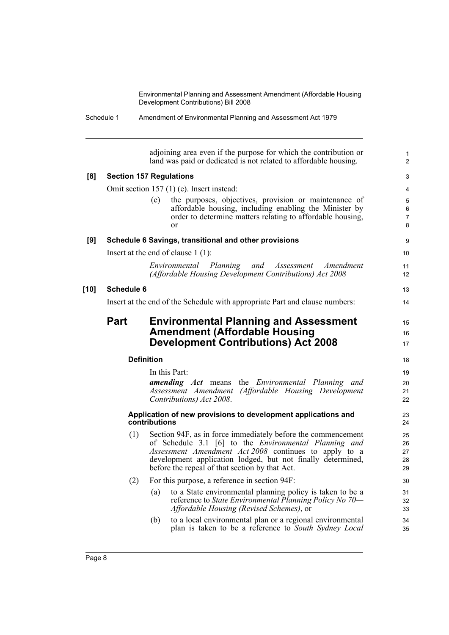|        |                                | adjoining area even if the purpose for which the contribution or<br>land was paid or dedicated is not related to affordable housing.                                                                                                                                                                          | 1<br>$\overline{c}$           |  |  |  |
|--------|--------------------------------|---------------------------------------------------------------------------------------------------------------------------------------------------------------------------------------------------------------------------------------------------------------------------------------------------------------|-------------------------------|--|--|--|
| [8]    | <b>Section 157 Regulations</b> |                                                                                                                                                                                                                                                                                                               |                               |  |  |  |
|        |                                | Omit section $157(1)$ (e). Insert instead:                                                                                                                                                                                                                                                                    | 4                             |  |  |  |
|        |                                | the purposes, objectives, provision or maintenance of<br>(e)<br>affordable housing, including enabling the Minister by<br>order to determine matters relating to affordable housing,<br>or                                                                                                                    | 5<br>6<br>$\overline{7}$<br>8 |  |  |  |
| [9]    |                                | Schedule 6 Savings, transitional and other provisions                                                                                                                                                                                                                                                         | 9                             |  |  |  |
|        |                                | Insert at the end of clause $1(1)$ :                                                                                                                                                                                                                                                                          | 10                            |  |  |  |
|        |                                | Environmental Planning<br>and Assessment<br>Amendment<br>(Affordable Housing Development Contributions) Act 2008                                                                                                                                                                                              | 11<br>12                      |  |  |  |
| $[10]$ | <b>Schedule 6</b>              |                                                                                                                                                                                                                                                                                                               | 13                            |  |  |  |
|        |                                | Insert at the end of the Schedule with appropriate Part and clause numbers:                                                                                                                                                                                                                                   | 14                            |  |  |  |
|        | <b>Part</b>                    | <b>Environmental Planning and Assessment</b><br><b>Amendment (Affordable Housing</b><br><b>Development Contributions) Act 2008</b>                                                                                                                                                                            | 15<br>16<br>17                |  |  |  |
|        |                                | <b>Definition</b>                                                                                                                                                                                                                                                                                             | 18                            |  |  |  |
|        |                                | In this Part:<br><b>amending Act</b> means the <i>Environmental Planning and</i><br>Assessment Amendment (Affordable Housing Development<br>Contributions) Act 2008.                                                                                                                                          | 19<br>20<br>21<br>22          |  |  |  |
|        |                                | Application of new provisions to development applications and<br>contributions                                                                                                                                                                                                                                | 23<br>24                      |  |  |  |
|        | (1)                            | Section 94F, as in force immediately before the commencement<br>of Schedule 3.1 [6] to the <i>Environmental Planning and</i><br><i>Assessment Amendment Act 2008</i> continues to apply to a<br>development application lodged, but not finally determined,<br>before the repeal of that section by that Act. | 25<br>26<br>27<br>28<br>29    |  |  |  |
|        |                                | (2) For this purpose, a reference in section 94F:                                                                                                                                                                                                                                                             | 30                            |  |  |  |
|        |                                | to a State environmental planning policy is taken to be a<br>(a)<br>reference to State Environmental Planning Policy No 70—<br><i>Affordable Housing (Revised Schemes)</i> , or                                                                                                                               | 31<br>32<br>33                |  |  |  |
|        |                                | to a local environmental plan or a regional environmental<br>(b)<br>plan is taken to be a reference to South Sydney Local                                                                                                                                                                                     | 34<br>35                      |  |  |  |
|        |                                |                                                                                                                                                                                                                                                                                                               |                               |  |  |  |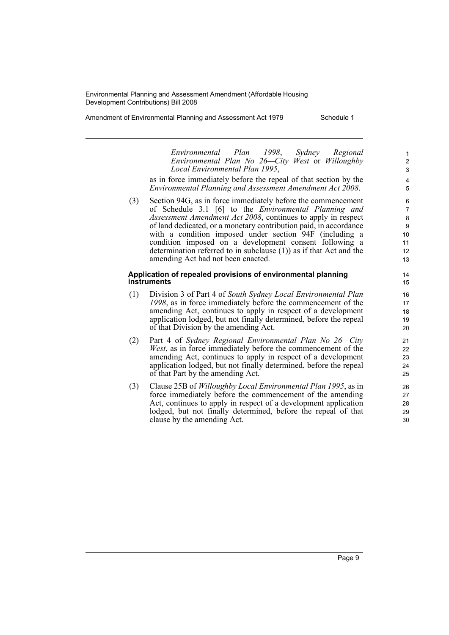Amendment of Environmental Planning and Assessment Act 1979 Schedule 1

*Environmental Plan 1998*, *Sydney Regional Environmental Plan No 26—City West* or *Willoughby Local Environmental Plan 1995*,

as in force immediately before the repeal of that section by the *Environmental Planning and Assessment Amendment Act 2008*.

(3) Section 94G, as in force immediately before the commencement of Schedule 3.1 [6] to the *Environmental Planning and Assessment Amendment Act 2008*, continues to apply in respect of land dedicated, or a monetary contribution paid, in accordance with a condition imposed under section 94F (including a condition imposed on a development consent following a determination referred to in subclause (1)) as if that Act and the amending Act had not been enacted.

#### **Application of repealed provisions of environmental planning instruments**

- (1) Division 3 of Part 4 of *South Sydney Local Environmental Plan 1998*, as in force immediately before the commencement of the amending Act, continues to apply in respect of a development application lodged, but not finally determined, before the repeal of that Division by the amending Act.
- (2) Part 4 of *Sydney Regional Environmental Plan No 26—City West*, as in force immediately before the commencement of the amending Act, continues to apply in respect of a development application lodged, but not finally determined, before the repeal of that Part by the amending Act.
- (3) Clause 25B of *Willoughby Local Environmental Plan 1995*, as in force immediately before the commencement of the amending Act, continues to apply in respect of a development application lodged, but not finally determined, before the repeal of that clause by the amending Act.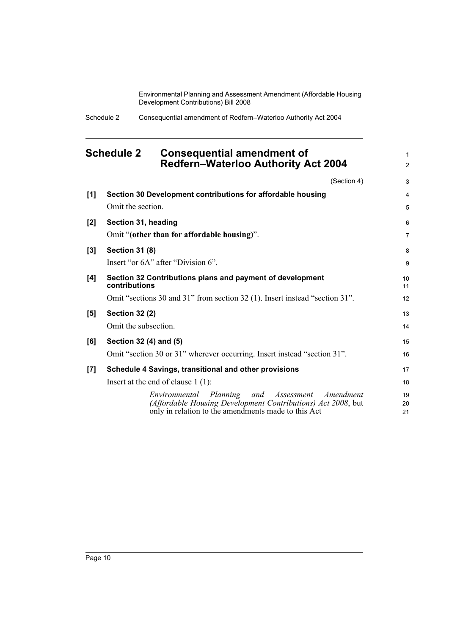> 1 2

Schedule 2 Consequential amendment of Redfern–Waterloo Authority Act 2004

## <span id="page-15-0"></span>**Schedule 2 Consequential amendment of Redfern–Waterloo Authority Act 2004**

|       | (Section 4)                                                                                                                                                                  | 3                   |
|-------|------------------------------------------------------------------------------------------------------------------------------------------------------------------------------|---------------------|
| [1]   | Section 30 Development contributions for affordable housing<br>Omit the section.                                                                                             | 4<br>5              |
| [2]   | Section 31, heading<br>Omit "(other than for affordable housing)".                                                                                                           | 6<br>$\overline{7}$ |
| [3]   | <b>Section 31 (8)</b>                                                                                                                                                        | 8                   |
|       | Insert "or 6A" after "Division 6".                                                                                                                                           | 9                   |
| [4]   | Section 32 Contributions plans and payment of development<br>contributions                                                                                                   | 10<br>11            |
|       | Omit "sections 30 and 31" from section 32 (1). Insert instead "section 31".                                                                                                  | 12                  |
| [5]   | <b>Section 32 (2)</b><br>Omit the subsection.                                                                                                                                | 13<br>14            |
| [6]   | Section 32 (4) and (5)                                                                                                                                                       | 15                  |
|       | Omit "section 30 or 31" wherever occurring. Insert instead "section 31".                                                                                                     | 16                  |
| $[7]$ | Schedule 4 Savings, transitional and other provisions                                                                                                                        | 17                  |
|       | Insert at the end of clause $1(1)$ :                                                                                                                                         | 18                  |
|       | Environmental Planning<br>and Assessment<br>Amendment<br>(Affordable Housing Development Contributions) Act 2008, but<br>only in relation to the amendments made to this Act | 19<br>20<br>21      |